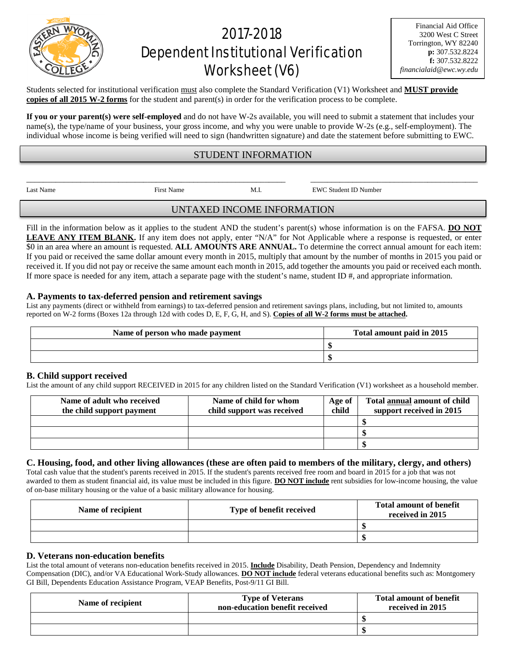# 2017-2018 Dependent Institutional Verification Worksheet (V6)

Financial Aid Office 3200 West C Street Torrington, WY 82240 **p:** 307.532.8224 **f:** 307.532.8222 *financialaid@ewc.wy.edu*

Students selected for institutional verification must also complete the Standard Verification (V1) Worksheet and **MUST provide copies of all 2015 W-2 forms** for the student and parent(s) in order for the verification process to be complete.

**If you or your parent(s) were self-employed** and do not have W-2s available, you will need to submit a statement that includes your name(s), the type/name of your business, your gross income, and why you were unable to provide W-2s (e.g., self-employment). The individual whose income is being verified will need to sign (handwritten signature) and date the statement before submitting to EWC.

## STUDENT INFORMATION

Last Name First Name First Name M.I. EWC Student ID Number

UNTAXED INCOME INFORMATION

Fill in the information below as it applies to the student AND the student's parent(s) whose information is on the FAFSA. DO NOT LEAVE ANY ITEM BLANK. If any item does not apply, enter "N/A" for Not Applicable where a response is requested, or enter \$0 in an area where an amount is requested. **ALL AMOUNTS ARE ANNUAL.** To determine the correct annual amount for each item: If you paid or received the same dollar amount every month in 2015, multiply that amount by the number of months in 2015 you paid or received it. If you did not pay or receive the same amount each month in 2015, add together the amounts you paid or received each month. If more space is needed for any item, attach a separate page with the student's name, student ID #, and appropriate information.

### **A. Payments to tax-deferred pension and retirement savings**

List any payments (direct or withheld from earnings) to tax-deferred pension and retirement savings plans, including, but not limited to, amounts reported on W-2 forms (Boxes 12a through 12d with codes D, E, F, G, H, and S). **Copies of all W-2 forms must be attached.**

| Name of person who made payment | Total amount paid in 2015 |  |
|---------------------------------|---------------------------|--|
|                                 |                           |  |
|                                 |                           |  |

#### **B. Child support received**

List the amount of any child support RECEIVED in 2015 for any children listed on the Standard Verification (V1) worksheet as a household member.

| Name of adult who received<br>the child support payment | Name of child for whom<br>child support was received | Age of<br>child | Total annual amount of child<br>support received in 2015 |
|---------------------------------------------------------|------------------------------------------------------|-----------------|----------------------------------------------------------|
|                                                         |                                                      |                 |                                                          |
|                                                         |                                                      |                 |                                                          |
|                                                         |                                                      |                 |                                                          |

#### **C. Housing, food, and other living allowances (these are often paid to members of the military, clergy, and others)**

Total cash value that the student's parents received in 2015. If the student's parents received free room and board in 2015 for a job that was not awarded to them as student financial aid, its value must be included in this figure. **DO NOT include** rent subsidies for low-income housing, the value of on-base military housing or the value of a basic military allowance for housing.

| Name of recipient | Type of benefit received | <b>Total amount of benefit</b><br>received in 2015 |
|-------------------|--------------------------|----------------------------------------------------|
|                   |                          |                                                    |
|                   |                          |                                                    |

#### **D. Veterans non-education benefits**

List the total amount of veterans non-education benefits received in 2015. **Include** Disability, Death Pension, Dependency and Indemnity Compensation (DIC), and/or VA Educational Work-Study allowances. **DO NOT include** federal veterans educational benefits such as: Montgomery GI Bill, Dependents Education Assistance Program, VEAP Benefits, Post-9/11 GI Bill.

| Name of recipient | <b>Type of Veterans</b><br>non-education benefit received | <b>Total amount of benefit</b><br>received in 2015 |
|-------------------|-----------------------------------------------------------|----------------------------------------------------|
|                   |                                                           |                                                    |
|                   |                                                           |                                                    |



\_\_\_\_\_\_\_\_\_\_\_\_\_\_\_\_\_\_\_\_\_\_\_\_\_\_\_\_\_\_\_\_\_\_\_\_\_\_\_\_\_\_\_\_\_\_\_\_\_\_\_\_\_\_\_\_\_\_\_\_\_\_ \_\_\_\_\_\_\_\_\_\_\_\_\_\_\_\_\_\_\_\_\_\_\_\_\_\_\_\_\_\_\_\_\_\_\_\_\_\_\_\_